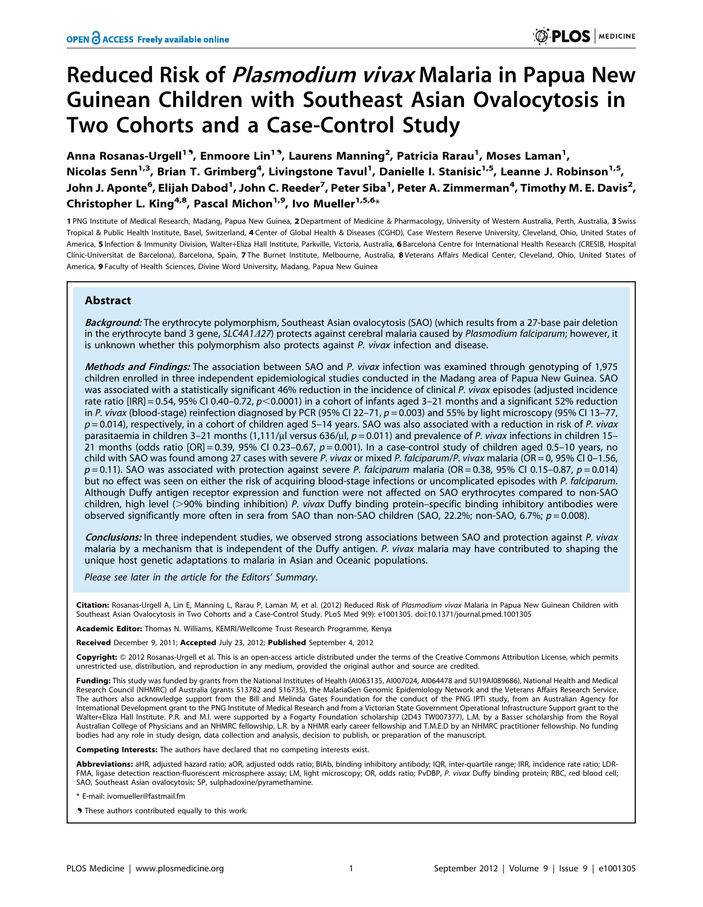# Reduced Risk of *Plasmodium vivax* Malaria in Papua New Guinean Children with Southeast Asian Ovalocytosis in Two Cohorts and a Case-Control Study

Anna Rosanas-Urgell<sup>19</sup>, Enmoore Lin<sup>19</sup>, Laurens Manning<sup>2</sup>, Patricia Rarau<sup>1</sup>, Moses Laman<sup>1</sup>, Nicolas Senn<sup>1,3</sup>, Brian T. Grimberg<sup>4</sup>, Livingstone Tavul<sup>1</sup>, Danielle I. Stanisic<sup>1,5</sup>, Leanne J. Robinson<sup>1,5</sup>, John J. Aponte<sup>6</sup>, Elijah Dabod<sup>1</sup>, John C. Reeder<sup>7</sup>, Peter Siba<sup>1</sup>, Peter A. Zimmerman<sup>4</sup>, Timothy M. E. Davis<sup>2</sup>, Christopher L. King<sup>4,8</sup>, Pascal Michon<sup>1,9</sup>, Ivo Mueller<sup>1,5,6</sup>\*

1 PNG Institute of Medical Research, Madang, Papua New Guinea, 2 Department of Medicine & Pharmacology, University of Western Australia, Perth, Australia, 3 Swiss Tropical & Public Health Institute, Basel, Switzerland, 4 Center of Global Health & Diseases (CGHD), Case Western Reserve University, Cleveland, Ohio, United States of America, 5 Infection & Immunity Division, Walter+Eliza Hall Institute, Parkville, Victoria, Australia, 6 Barcelona Centre for International Health Research (CRESIB, Hospital Clínic-Universitat de Barcelona), Barcelona, Spain, 7 The Burnet Institute, Melbourne, Australia, 8 Veterans Affairs Medical Center, Cleveland, Ohio, United States of America, 9 Faculty of Health Sciences, Divine Word University, Madang, Papua New Guinea

# Abstract

Background: The erythrocyte polymorphism, Southeast Asian ovalocytosis (SAO) (which results from a 27-base pair deletion in the erythrocyte band 3 gene, SLC4A1/27) protects against cerebral malaria caused by Plasmodium falciparum; however, it is unknown whether this polymorphism also protects against P. vivax infection and disease.

Methods and Findings: The association between SAO and P. vivax infection was examined through genotyping of 1,975 children enrolled in three independent epidemiological studies conducted in the Madang area of Papua New Guinea. SAO was associated with a statistically significant 46% reduction in the incidence of clinical P. vivax episodes (adjusted incidence rate ratio [IRR] = 0.54, 95% CI 0.40–0.72,  $p$ <0.0001) in a cohort of infants aged 3–21 months and a significant 52% reduction in P. vivax (blood-stage) reinfection diagnosed by PCR (95% CI 22-71,  $p = 0.003$ ) and 55% by light microscopy (95% CI 13-77,  $p = 0.014$ ), respectively, in a cohort of children aged 5-14 years. SAO was also associated with a reduction in risk of P. vivax parasitaemia in children 3-21 months (1,111/µl versus 636/µl,  $p = 0.011$ ) and prevalence of P. vivax infections in children 15-21 months (odds ratio  $[OR] = 0.39$ , 95% CI 0.23-0.67,  $p = 0.001$ ). In a case-control study of children aged 0.5-10 years, no child with SAO was found among 27 cases with severe P. vivax or mixed P. falciparum/P. vivax malaria (OR = 0, 95% CI 0-1.56,  $p = 0.11$ ). SAO was associated with protection against severe P. falciparum malaria (OR = 0.38, 95% CI 0.15–0.87,  $p = 0.014$ ) but no effect was seen on either the risk of acquiring blood-stage infections or uncomplicated episodes with P. falciparum. Although Duffy antigen receptor expression and function were not affected on SAO erythrocytes compared to non-SAO children, high level ( $>$ 90% binding inhibition) P. vivax Duffy binding protein–specific binding inhibitory antibodies were observed significantly more often in sera from SAO than non-SAO children (SAO, 22.2%; non-SAO, 6.7%;  $p = 0.008$ ).

Conclusions: In three independent studies, we observed strong associations between SAO and protection against P. vivax malaria by a mechanism that is independent of the Duffy antigen. P. vivax malaria may have contributed to shaping the unique host genetic adaptations to malaria in Asian and Oceanic populations.

Please see later in the article for the Editors' Summary.

Citation: Rosanas-Urgell A, Lin E, Manning L, Rarau P, Laman M, et al. (2012) Reduced Risk of Plasmodium vivax Malaria in Papua New Guinean Children with Southeast Asian Ovalocytosis in Two Cohorts and a Case-Control Study. PLoS Med 9(9): e1001305. doi:10.1371/journal.pmed.1001305

Academic Editor: Thomas N. Williams, KEMRI/Wellcome Trust Research Programme, Kenya

Received December 9, 2011; Accepted July 23, 2012; Published September 4, 2012

Copyright: © 2012 Rosanas-Urgell et al. This is an open-access article distributed under the terms of the Creative Commons Attribution License, which permits unrestricted use, distribution, and reproduction in any medium, provided the original author and source are credited.

Funding: This study was funded by grants from the National Institutes of Health (AI063135, AI007024, AI064478 and 5U19AI089686), National Health and Medical Research Council (NHMRC) of Australia (grants 513782 and 516735), the MalariaGen Genomic Epidemiology Network and the Veterans Affairs Research Service.<br>The authors also acknowledge support from the Bill and Melinda Gates International Development grant to the PNG Institute of Medical Research and from a Victorian State Government Operational Infrastructure Support grant to the Walter+Eliza Hall Institute. P.R. and M.I. were supported by a Fogarty Foundation scholarship (2D43 TW007377), L.M. by a Basser scholarship from the Royal Australian College of Physicians and an NHMRC fellowship, L.R. by a NHMR early career fellowship and T.M.E.D by an NHMRC practitioner fellowship. No funding bodies had any role in study design, data collection and analysis, decision to publish, or preparation of the manuscript.

Competing Interests: The authors have declared that no competing interests exist.

Abbreviations: aHR, adjusted hazard ratio; aOR, adjusted odds ratio; BIAb, binding inhibitory antibody; IQR, inter-quartile range; IRR, incidence rate ratio; LDR-FMA, ligase detection reaction-fluorescent microsphere assay; LM, light microscopy; OR, odds ratio; PvDBP, P. vivax Duffy binding protein; RBC, red blood cell; SAO, Southeast Asian ovalocytosis; SP, sulphadoxine/pyramethamine.

\* E-mail: ivomueller@fastmail.fm

. These authors contributed equally to this work.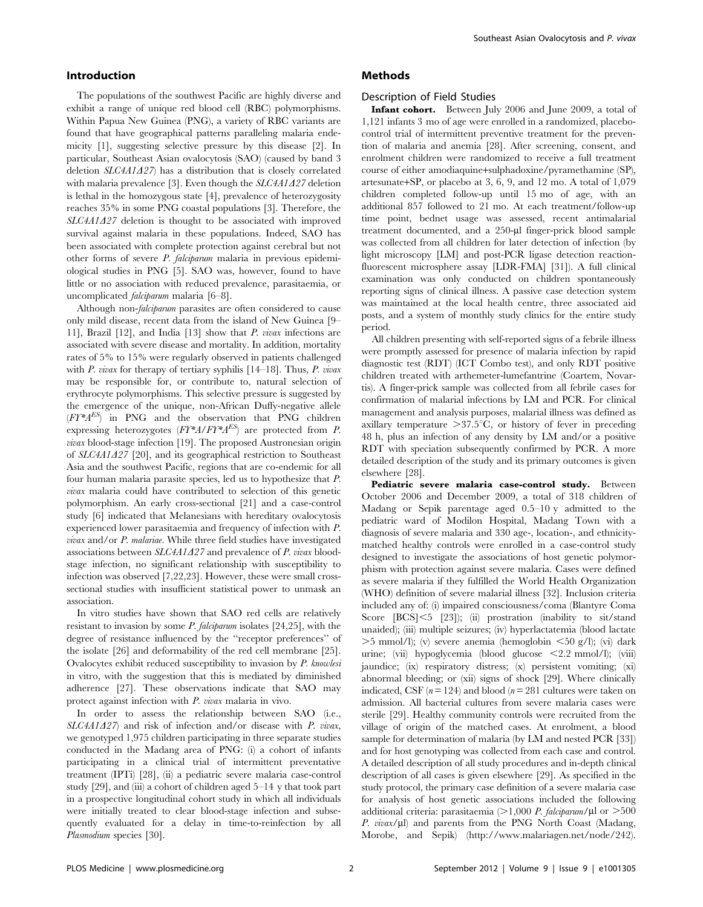## Introduction

The populations of the southwest Pacific are highly diverse and exhibit a range of unique red blood cell (RBC) polymorphisms. Within Papua New Guinea (PNG), a variety of RBC variants are found that have geographical patterns paralleling malaria endemicity [1], suggesting selective pressure by this disease [2]. In particular, Southeast Asian ovalocytosis (SAO) (caused by band 3 deletion  $SLCAA1A27$  has a distribution that is closely correlated with malaria prevalence [3]. Even though the  $SLCAA1A27$  deletion is lethal in the homozygous state [4], prevalence of heterozygosity reaches 35% in some PNG coastal populations [3]. Therefore, the  $SLC4A1A27$  deletion is thought to be associated with improved survival against malaria in these populations. Indeed, SAO has been associated with complete protection against cerebral but not other forms of severe P. falciparum malaria in previous epidemiological studies in PNG [5]. SAO was, however, found to have little or no association with reduced prevalence, parasitaemia, or uncomplicated falciparum malaria [6–8].

Although non-*falciparum* parasites are often considered to cause only mild disease, recent data from the island of New Guinea [9– 11], Brazil [12], and India [13] show that P. vivax infections are associated with severe disease and mortality. In addition, mortality rates of 5% to 15% were regularly observed in patients challenged with P. vivax for therapy of tertiary syphilis  $[14–18]$ . Thus, P. vivax may be responsible for, or contribute to, natural selection of erythrocyte polymorphisms. This selective pressure is suggested by the emergence of the unique, non-African Duffy-negative allele  $(FY^*A^{ES})$  in PNG and the observation that PNG children expressing heterozygotes  $(FY^*A/FY^*A^{ES})$  are protected from P. vivax blood-stage infection [19]. The proposed Austronesian origin of  $SLCAA1A27$  [20], and its geographical restriction to Southeast Asia and the southwest Pacific, regions that are co-endemic for all four human malaria parasite species, led us to hypothesize that P. vivax malaria could have contributed to selection of this genetic polymorphism. An early cross-sectional [21] and a case-control study [6] indicated that Melanesians with hereditary ovalocytosis experienced lower parasitaemia and frequency of infection with P. vivax and/or P. malariae. While three field studies have investigated associations between  $SLC4A1A27$  and prevalence of P. vivax bloodstage infection, no significant relationship with susceptibility to infection was observed [7,22,23]. However, these were small crosssectional studies with insufficient statistical power to unmask an association.

In vitro studies have shown that SAO red cells are relatively resistant to invasion by some  $P$ . falciparum isolates [24,25], with the degree of resistance influenced by the ''receptor preferences'' of the isolate [26] and deformability of the red cell membrane [25]. Ovalocytes exhibit reduced susceptibility to invasion by P. knowlesi in vitro, with the suggestion that this is mediated by diminished adherence [27]. These observations indicate that SAO may protect against infection with P. vivax malaria in vivo.

In order to assess the relationship between SAO (i.e.,  $SLCAA1A27$  and risk of infection and/or disease with P. vivax, we genotyped 1,975 children participating in three separate studies conducted in the Madang area of PNG: (i) a cohort of infants participating in a clinical trial of intermittent preventative treatment (IPTi) [28], (ii) a pediatric severe malaria case-control study [29], and (iii) a cohort of children aged 5–14 y that took part in a prospective longitudinal cohort study in which all individuals were initially treated to clear blood-stage infection and subsequently evaluated for a delay in time-to-reinfection by all Plasmodium species [30].

### Methods

#### Description of Field Studies

Infant cohort. Between July 2006 and June 2009, a total of 1,121 infants 3 mo of age were enrolled in a randomized, placebocontrol trial of intermittent preventive treatment for the prevention of malaria and anemia [28]. After screening, consent, and enrolment children were randomized to receive a full treatment course of either amodiaquine+sulphadoxine/pyramethamine (SP), artesunate+SP, or placebo at 3, 6, 9, and 12 mo. A total of 1,079 children completed follow-up until 15 mo of age, with an additional 857 followed to 21 mo. At each treatment/follow-up time point, bednet usage was assessed, recent antimalarial treatment documented, and a 250-µl finger-prick blood sample was collected from all children for later detection of infection (by light microscopy [LM] and post-PCR ligase detection reactionfluorescent microsphere assay [LDR-FMA] [31]). A full clinical examination was only conducted on children spontaneously reporting signs of clinical illness. A passive case detection system was maintained at the local health centre, three associated aid posts, and a system of monthly study clinics for the entire study period.

All children presenting with self-reported signs of a febrile illness were promptly assessed for presence of malaria infection by rapid diagnostic test (RDT) (ICT Combo test), and only RDT positive children treated with arthemeter-lumefantrine (Coartem, Novartis). A finger-prick sample was collected from all febrile cases for confirmation of malarial infections by LM and PCR. For clinical management and analysis purposes, malarial illness was defined as axillary temperature  $>37.5^{\circ}C$ , or history of fever in preceding 48 h, plus an infection of any density by LM and/or a positive RDT with speciation subsequently confirmed by PCR. A more detailed description of the study and its primary outcomes is given elsewhere [28].

Pediatric severe malaria case-control study. Between October 2006 and December 2009, a total of 318 children of Madang or Sepik parentage aged 0.5–10 y admitted to the pediatric ward of Modilon Hospital, Madang Town with a diagnosis of severe malaria and 330 age-, location-, and ethnicitymatched healthy controls were enrolled in a case-control study designed to investigate the associations of host genetic polymorphism with protection against severe malaria. Cases were defined as severe malaria if they fulfilled the World Health Organization (WHO) definition of severe malarial illness [32]. Inclusion criteria included any of: (i) impaired consciousness/coma (Blantyre Coma Score [BCS]<5 [23]); (ii) prostration (inability to sit/stand unaided); (iii) multiple seizures; (iv) hyperlactatemia (blood lactate  $>5$  mmol/l); (v) severe anemia (hemoglobin  $\leq 50$  g/l); (vi) dark urine; (vii) hypoglycemia (blood glucose <2.2 mmol/l); (viii) jaundice; (ix) respiratory distress; (x) persistent vomiting; (xi) abnormal bleeding; or (xii) signs of shock [29]. Where clinically indicated, CSF ( $n = 124$ ) and blood ( $n = 281$  cultures were taken on admission. All bacterial cultures from severe malaria cases were sterile [29]. Healthy community controls were recruited from the village of origin of the matched cases. At enrolment, a blood sample for determination of malaria (by LM and nested PCR [33]) and for host genotyping was collected from each case and control. A detailed description of all study procedures and in-depth clinical description of all cases is given elsewhere [29]. As specified in the study protocol, the primary case definition of a severe malaria case for analysis of host genetic associations included the following additional criteria: parasitaemia ( $>1,000$  P. falciparum/ $\mu$ l or  $>500$ P. vivax/ $\mu$ l) and parents from the PNG North Coast (Madang, Morobe, and Sepik) (http://www.malariagen.net/node/242).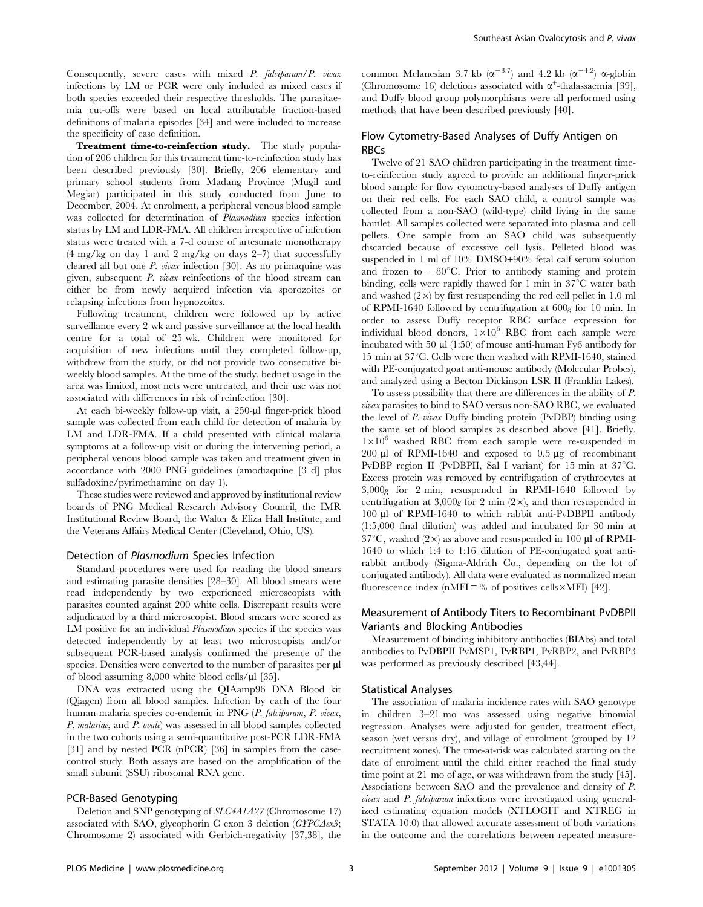Consequently, severe cases with mixed P. falciparum/P. vivax infections by LM or PCR were only included as mixed cases if both species exceeded their respective thresholds. The parasitaemia cut-offs were based on local attributable fraction-based definitions of malaria episodes [34] and were included to increase the specificity of case definition.

Treatment time-to-reinfection study. The study population of 206 children for this treatment time-to-reinfection study has been described previously [30]. Briefly, 206 elementary and primary school students from Madang Province (Mugil and Megiar) participated in this study conducted from June to December, 2004. At enrolment, a peripheral venous blood sample was collected for determination of *Plasmodium* species infection status by LM and LDR-FMA. All children irrespective of infection status were treated with a 7-d course of artesunate monotherapy  $(4 \text{ mg/kg}$  on day 1 and 2 mg/kg on days 2–7) that successfully cleared all but one P. vivax infection [30]. As no primaquine was given, subsequent  $P$ , *vivax* reinfections of the blood stream can either be from newly acquired infection via sporozoites or relapsing infections from hypnozoites.

Following treatment, children were followed up by active surveillance every 2 wk and passive surveillance at the local health centre for a total of 25 wk. Children were monitored for acquisition of new infections until they completed follow-up, withdrew from the study, or did not provide two consecutive biweekly blood samples. At the time of the study, bednet usage in the area was limited, most nets were untreated, and their use was not associated with differences in risk of reinfection [30].

At each bi-weekly follow-up visit, a 250-µl finger-prick blood sample was collected from each child for detection of malaria by LM and LDR-FMA. If a child presented with clinical malaria symptoms at a follow-up visit or during the intervening period, a peripheral venous blood sample was taken and treatment given in accordance with 2000 PNG guidelines (amodiaquine [3 d] plus sulfadoxine/pyrimethamine on day 1).

These studies were reviewed and approved by institutional review boards of PNG Medical Research Advisory Council, the IMR Institutional Review Board, the Walter & Eliza Hall Institute, and the Veterans Affairs Medical Center (Cleveland, Ohio, US).

#### Detection of Plasmodium Species Infection

Standard procedures were used for reading the blood smears and estimating parasite densities [28–30]. All blood smears were read independently by two experienced microscopists with parasites counted against 200 white cells. Discrepant results were adjudicated by a third microscopist. Blood smears were scored as LM positive for an individual *Plasmodium* species if the species was detected independently by at least two microscopists and/or subsequent PCR-based analysis confirmed the presence of the species. Densities were converted to the number of parasites per ul of blood assuming  $8,000$  white blood cells/ $\mu$ l [35].

DNA was extracted using the QIAamp96 DNA Blood kit (Qiagen) from all blood samples. Infection by each of the four human malaria species co-endemic in PNG (P. falciparum, P. vivax, P. malariae, and P. ovale) was assessed in all blood samples collected in the two cohorts using a semi-quantitative post-PCR LDR-FMA [31] and by nested PCR (nPCR) [36] in samples from the casecontrol study. Both assays are based on the amplification of the small subunit (SSU) ribosomal RNA gene.

#### PCR-Based Genotyping

Deletion and SNP genotyping of SLC4A1A27 (Chromosome 17) associated with SAO, glycophorin C exon 3 deletion ( $GTPC\Delta ex3$ ; Chromosome 2) associated with Gerbich-negativity [37,38], the common Melanesian 3.7 kb ( $\alpha^{-3.7}$ ) and 4.2 kb ( $\alpha^{-4.2}$ )  $\alpha$ -globin (Chromosome 16) deletions associated with  $\alpha^+$ -thalassaemia [39], and Duffy blood group polymorphisms were all performed using methods that have been described previously [40].

# Flow Cytometry-Based Analyses of Duffy Antigen on RBCs

Twelve of 21 SAO children participating in the treatment timeto-reinfection study agreed to provide an additional finger-prick blood sample for flow cytometry-based analyses of Duffy antigen on their red cells. For each SAO child, a control sample was collected from a non-SAO (wild-type) child living in the same hamlet. All samples collected were separated into plasma and cell pellets. One sample from an SAO child was subsequently discarded because of excessive cell lysis. Pelleted blood was suspended in 1 ml of 10% DMSO+90% fetal calf serum solution and frozen to  $-80^{\circ}$ C. Prior to antibody staining and protein binding, cells were rapidly thawed for 1 min in  $37^{\circ}$ C water bath and washed  $(2\times)$  by first resuspending the red cell pellet in 1.0 ml of RPMI-1640 followed by centrifugation at 600g for 10 min. In order to assess Duffy receptor RBC surface expression for individual blood donors,  $1\times10^6$  RBC from each sample were incubated with 50  $\mu$ l (1:50) of mouse anti-human Fy6 antibody for 15 min at  $37^{\circ}$ C. Cells were then washed with RPMI-1640, stained with PE-conjugated goat anti-mouse antibody (Molecular Probes), and analyzed using a Becton Dickinson LSR II (Franklin Lakes).

To assess possibility that there are differences in the ability of P. vivax parasites to bind to SAO versus non-SAO RBC, we evaluated the level of P. vivax Duffy binding protein (PvDBP) binding using the same set of blood samples as described above [41]. Briefly,  $1\times10^6$  washed RBC from each sample were re-suspended in 200  $\mu$ l of RPMI-1640 and exposed to 0.5  $\mu$ g of recombinant PvDBP region II (PvDBPII, Sal I variant) for 15 min at  $37^{\circ}$ C. Excess protein was removed by centrifugation of erythrocytes at 3,000g for 2 min, resuspended in RPMI-1640 followed by centrifugation at 3,000g for 2 min  $(2\times)$ , and then resuspended in 100 ml of RPMI-1640 to which rabbit anti-PvDBPII antibody (1:5,000 final dilution) was added and incubated for 30 min at  $37^{\circ}$ C, washed (2  $\times$ ) as above and resuspended in 100 µl of RPMI-1640 to which 1:4 to 1:16 dilution of PE-conjugated goat antirabbit antibody (Sigma-Aldrich Co., depending on the lot of conjugated antibody). All data were evaluated as normalized mean fluorescence index (nMFI =  $\%$  of positives cells $\times$ MFI) [42].

## Measurement of Antibody Titers to Recombinant PvDBPII Variants and Blocking Antibodies

Measurement of binding inhibitory antibodies (BIAbs) and total antibodies to PvDBPII PvMSP1, PvRBP1, PvRBP2, and PvRBP3 was performed as previously described [43,44].

#### Statistical Analyses

The association of malaria incidence rates with SAO genotype in children 3–21 mo was assessed using negative binomial regression. Analyses were adjusted for gender, treatment effect, season (wet versus dry), and village of enrolment (grouped by 12 recruitment zones). The time-at-risk was calculated starting on the date of enrolment until the child either reached the final study time point at 21 mo of age, or was withdrawn from the study [45]. Associations between SAO and the prevalence and density of P. vivax and P. falciparum infections were investigated using generalized estimating equation models (XTLOGIT and XTREG in STATA 10.0) that allowed accurate assessment of both variations in the outcome and the correlations between repeated measure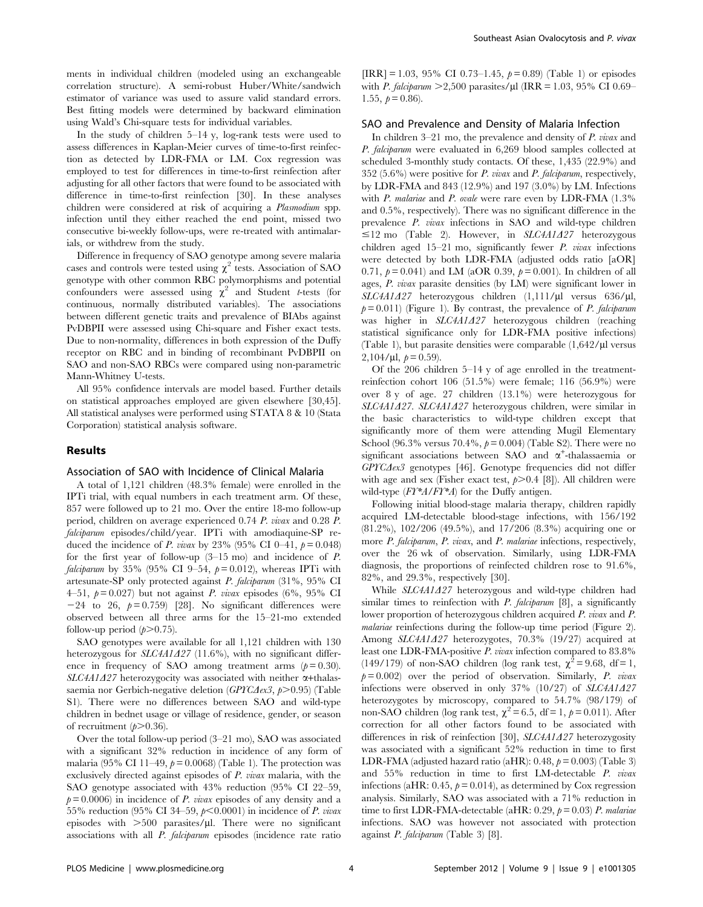ments in individual children (modeled using an exchangeable correlation structure). A semi-robust Huber/White/sandwich estimator of variance was used to assure valid standard errors. Best fitting models were determined by backward elimination using Wald's Chi-square tests for individual variables.

In the study of children 5–14 y, log-rank tests were used to assess differences in Kaplan-Meier curves of time-to-first reinfection as detected by LDR-FMA or LM. Cox regression was employed to test for differences in time-to-first reinfection after adjusting for all other factors that were found to be associated with difference in time-to-first reinfection [30]. In these analyses children were considered at risk of acquiring a Plasmodium spp. infection until they either reached the end point, missed two consecutive bi-weekly follow-ups, were re-treated with antimalarials, or withdrew from the study.

Difference in frequency of SAO genotype among severe malaria cases and controls were tested using  $\chi^2$  tests. Association of SAO genotype with other common RBC polymorphisms and potential confounders were assessed using  $\chi^2$  and Student t-tests (for continuous, normally distributed variables). The associations between different genetic traits and prevalence of BIAbs against PvDBPII were assessed using Chi-square and Fisher exact tests. Due to non-normality, differences in both expression of the Duffy receptor on RBC and in binding of recombinant PvDBPII on SAO and non-SAO RBCs were compared using non-parametric Mann-Whitney U-tests.

All 95% confidence intervals are model based. Further details on statistical approaches employed are given elsewhere [30,45]. All statistical analyses were performed using STATA 8 & 10 (Stata Corporation) statistical analysis software.

## Results

### Association of SAO with Incidence of Clinical Malaria

A total of 1,121 children (48.3% female) were enrolled in the IPTi trial, with equal numbers in each treatment arm. Of these, 857 were followed up to 21 mo. Over the entire 18-mo follow-up period, children on average experienced 0.74 P. vivax and 0.28 P. falciparum episodes/child/year. IPTi with amodiaquine-SP reduced the incidence of *P. vivax* by 23% (95% CI 0–41,  $p = 0.048$ ) for the first year of follow-up  $(3-15 \text{ mo})$  and incidence of P. *falciparum* by 35% (95% CI 9-54,  $p = 0.012$ ), whereas IPTi with artesunate-SP only protected against P. falciparum (31%, 95% CI 4–51,  $p = 0.027$ ) but not against *P. vivax* episodes (6%, 95% CI  $-24$  to 26,  $p=0.759$  [28]. No significant differences were observed between all three arms for the 15–21-mo extended follow-up period  $(p>0.75)$ .

SAO genotypes were available for all 1,121 children with 130 heterozygous for  $SLCAA1A27$  (11.6%), with no significant difference in frequency of SAO among treatment arms  $(p= 0.30)$ .  $SLC4A1A27$  heterozygocity was associated with neither  $\alpha$ +thalassaemia nor Gerbich-negative deletion ( $GPTC\text{dex}3$ ,  $p>0.95$ ) (Table S1). There were no differences between SAO and wild-type children in bednet usage or village of residence, gender, or season of recruitment  $(p>0.36)$ .

Over the total follow-up period (3–21 mo), SAO was associated with a significant 32% reduction in incidence of any form of malaria (95% CI 11–49,  $p = 0.0068$ ) (Table 1). The protection was exclusively directed against episodes of P. vivax malaria, with the SAO genotype associated with 43% reduction (95% CI 22–59,  $p = 0.0006$  in incidence of *P. vivax* episodes of any density and a 55% reduction (95% CI 34–59,  $p<0.0001$ ) in incidence of P. vivax episodes with  $>500$  parasites/ $\mu$ l. There were no significant associations with all P. falciparum episodes (incidence rate ratio

 $[IRR] = 1.03, 95\% CI 0.73–1.45, p = 0.89$  (Table 1) or episodes with P. falciparum  $\geq$ 2,500 parasites/ $\mu$ l (IRR = 1.03, 95% CI 0.69– 1.55,  $p = 0.86$ ).

## SAO and Prevalence and Density of Malaria Infection

In children 3–21 mo, the prevalence and density of P. vivax and P. falciparum were evaluated in 6,269 blood samples collected at scheduled 3-monthly study contacts. Of these, 1,435 (22.9%) and 352 (5.6%) were positive for  $P$ . vivax and  $P$ . falciparum, respectively, by LDR-FMA and 843 (12.9%) and 197 (3.0%) by LM. Infections with P. malariae and P. ovale were rare even by LDR-FMA (1.3%) and 0.5%, respectively). There was no significant difference in the prevalence P. vivax infections in SAO and wild-type children  $\leq$ 12 mo (Table 2). However, in SLC4A1427 heterozygous children aged  $15-21$  mo, significantly fewer *P. vivax* infections were detected by both LDR-FMA (adjusted odds ratio [aOR] 0.71,  $p = 0.041$  and LM (aOR 0.39,  $p = 0.001$ ). In children of all ages, P. vivax parasite densities (by LM) were significant lower in  $SLCAA1A27$  heterozygous children  $(1,111/\mu l)$  versus 636/ $\mu$ l,  $p= 0.011$ ) (Figure 1). By contrast, the prevalence of P. falciparum was higher in  $SLCAA1A27$  heterozygous children (reaching statistical significance only for LDR-FMA positive infections) (Table 1), but parasite densities were comparable  $(1,642/\mu)$  versus 2,104/µl,  $p = 0.59$ ).

Of the 206 children 5–14 y of age enrolled in the treatmentreinfection cohort 106 (51.5%) were female; 116 (56.9%) were over 8 y of age. 27 children (13.1%) were heterozygous for SLC4A1A27. SLC4A1A27 heterozygous children, were similar in the basic characteristics to wild-type children except that significantly more of them were attending Mugil Elementary School (96.3% versus 70.4%,  $p = 0.004$ ) (Table S2). There were no significant associations between SAO and  $\alpha^+$ -thalassaemia or  $GPTC\Delta ex3$  genotypes [46]. Genotype frequencies did not differ with age and sex (Fisher exact test,  $p > 0.4$  [8]). All children were wild-type  $(FY^*A/FY^*A)$  for the Duffy antigen.

Following initial blood-stage malaria therapy, children rapidly acquired LM-detectable blood-stage infections, with 156/192 (81.2%), 102/206 (49.5%), and 17/206 (8.3%) acquiring one or more *P. falciparum, P. vivax, and P. malariae* infections, respectively, over the 26 wk of observation. Similarly, using LDR-FMA diagnosis, the proportions of reinfected children rose to 91.6%, 82%, and 29.3%, respectively [30].

While SLC4A1A27 heterozygous and wild-type children had similar times to reinfection with  $P$ . falciparum [8], a significantly lower proportion of heterozygous children acquired P. vivax and P. malariae reinfections during the follow-up time period (Figure 2). Among  $SLCAA1A27$  heterozygotes, 70.3% (19/27) acquired at least one LDR-FMA-positive P. vivax infection compared to 83.8% (149/179) of non-SAO children (log rank test,  $\chi^2 = 9.68$ , df = 1,  $p= 0.002$ ) over the period of observation. Similarly, P. vivax infections were observed in only 37% (10/27) of  $SLCAA1A27$ heterozygotes by microscopy, compared to 54.7% (98/179) of non-SAO children (log rank test,  $\chi^2 = 6.5$ , df = 1,  $\rho = 0.011$ ). After correction for all other factors found to be associated with differences in risk of reinfection [30],  $SLCAA1A27$  heterozygosity was associated with a significant 52% reduction in time to first LDR-FMA (adjusted hazard ratio (aHR):  $0.48$ ,  $p = 0.003$ ) (Table 3) and 55% reduction in time to first LM-detectable P. vivax infections (aHR: 0.45,  $p = 0.014$ ), as determined by Cox regression analysis. Similarly, SAO was associated with a 71% reduction in time to first LDR-FMA-detectable (aHR:  $0.29$ ,  $p = 0.03$ ) P. malariae infections. SAO was however not associated with protection against P. falciparum (Table 3) [8].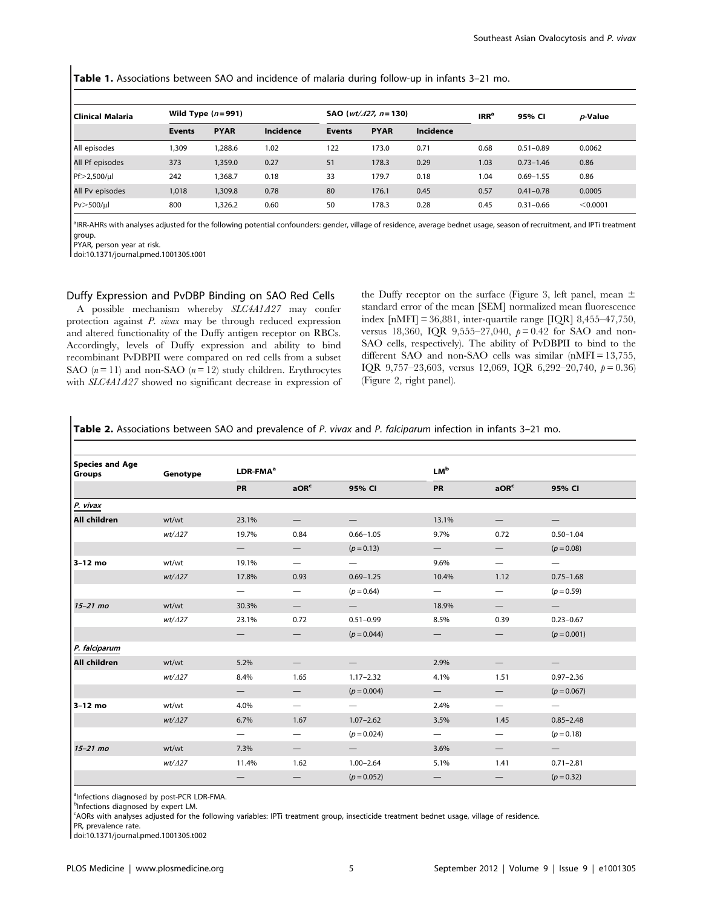Table 1. Associations between SAO and incidence of malaria during follow-up in infants 3–21 mo.

| l Clinical Malaria | Wild Type $(n=991)$ |             |                  | <b>SAO</b> ( <i>wt/<math>\angle</math>127, n</i> = 130) |             |                  | IRR <sup>a</sup> | 95% CI        | p-Value  |
|--------------------|---------------------|-------------|------------------|---------------------------------------------------------|-------------|------------------|------------------|---------------|----------|
|                    | <b>Events</b>       | <b>PYAR</b> | <b>Incidence</b> | <b>Events</b>                                           | <b>PYAR</b> | <b>Incidence</b> |                  |               |          |
| All episodes       | ,309                | ,288.6      | 1.02             | 122                                                     | 173.0       | 0.71             | 0.68             | $0.51 - 0.89$ | 0.0062   |
| All Pf episodes    | 373                 | 1,359.0     | 0.27             | 51                                                      | 178.3       | 0.29             | 1.03             | $0.73 - 1.46$ | 0.86     |
| Pf>2,500/ul        | 242                 | .368.7      | 0.18             | 33                                                      | 179.7       | 0.18             | 1.04             | $0.69 - 1.55$ | 0.86     |
| All Pv episodes    | 1,018               | 1,309.8     | 0.78             | 80                                                      | 176.1       | 0.45             | 0.57             | $0.41 - 0.78$ | 0.0005   |
| Pv > 500/µl        | 800                 | 326.2       | 0.60             | 50                                                      | 178.3       | 0.28             | 0.45             | $0.31 - 0.66$ | < 0.0001 |

<sup>a</sup>IRR-AHRs with analyses adjusted for the following potential confounders: gender, village of residence, average bednet usage, season of recruitment, and IPTi treatment group.

PYAR, person year at risk.

doi:10.1371/journal.pmed.1001305.t001

#### Duffy Expression and PvDBP Binding on SAO Red Cells

A possible mechanism whereby  $SLCAA1A27$  may confer protection against P. vivax may be through reduced expression and altered functionality of the Duffy antigen receptor on RBCs. Accordingly, levels of Duffy expression and ability to bind recombinant PvDBPII were compared on red cells from a subset SAO  $(n=11)$  and non-SAO  $(n=12)$  study children. Erythrocytes with  $SLC4A1A27$  showed no significant decrease in expression of the Duffy receptor on the surface (Figure 3, left panel, mean  $\pm$ standard error of the mean [SEM] normalized mean fluorescence index [nMFI] = 36,881, inter-quartile range [IQR] 8,455–47,750, versus 18,360, IQR 9,555-27,040,  $p = 0.42$  for SAO and non-SAO cells, respectively). The ability of PvDBPII to bind to the different SAO and non-SAO cells was similar (nMFI = 13,755, IQR 9,757-23,603, versus 12,069, IQR 6,292-20,740,  $p = 0.36$ ) (Figure 2, right panel).

Table 2. Associations between SAO and prevalence of P. vivax and P. falciparum infection in infants 3-21 mo.

| <b>Species and Age</b><br><b>Groups</b> | Genotype | LDR-FMA <sup>a</sup>     |                               |                          | <b>LM</b> <sup>b</sup>   |                                 |                                 |  |
|-----------------------------------------|----------|--------------------------|-------------------------------|--------------------------|--------------------------|---------------------------------|---------------------------------|--|
|                                         |          | <b>PR</b>                | aOR <sup>c</sup>              | 95% CI                   | PR                       | aOR <sup>c</sup>                | 95% CI                          |  |
| P. vivax                                |          |                          |                               |                          |                          |                                 |                                 |  |
| <b>All children</b>                     | wt/wt    | 23.1%                    | $\overline{\phantom{0}}$      |                          | 13.1%                    | $\hspace{0.1mm}-\hspace{0.1mm}$ | $\qquad \qquad -$               |  |
|                                         | wt/427   | 19.7%                    | 0.84                          | $0.66 - 1.05$            | 9.7%                     | 0.72                            | $0.50 - 1.04$                   |  |
|                                         |          | $\overline{\phantom{0}}$ |                               | $(p = 0.13)$             |                          |                                 | $(p = 0.08)$                    |  |
| 3-12 mo                                 | wt/wt    | 19.1%                    |                               | $\qquad \qquad$          | 9.6%                     | $\hspace{0.1mm}-\hspace{0.1mm}$ | $\hspace{0.1mm}-\hspace{0.1mm}$ |  |
|                                         | wt/427   | 17.8%                    | 0.93                          | $0.69 - 1.25$            | 10.4%                    | 1.12                            | $0.75 - 1.68$                   |  |
|                                         |          |                          | $\overline{\phantom{0}}$      | $(p = 0.64)$             | $\qquad \qquad -$        | $\hspace{0.1mm}-\hspace{0.1mm}$ | $(p = 0.59)$                    |  |
| $15-21$ mo                              | wt/wt    | 30.3%                    |                               | $\qquad \qquad -$        | 18.9%                    | $\qquad \qquad -$               | $\qquad \qquad -$               |  |
|                                         | wt/427   | 23.1%                    | 0.72                          | $0.51 - 0.99$            | 8.5%                     | 0.39                            | $0.23 - 0.67$                   |  |
|                                         |          | $\overline{\phantom{0}}$ | —                             | $(p = 0.044)$            | $\overline{\phantom{0}}$ | $\qquad \qquad -$               | $(p = 0.001)$                   |  |
| P. falciparum                           |          |                          |                               |                          |                          |                                 |                                 |  |
| All children                            | wt/wt    | 5.2%                     | $\overline{\phantom{0}}$      | $\qquad \qquad -$        | 2.9%                     | $\hspace{0.1mm}-\hspace{0.1mm}$ | $\qquad \qquad -$               |  |
|                                         | wt/∆27   | 8.4%                     | 1.65                          | $1.17 - 2.32$            | 4.1%                     | 1.51                            | $0.97 - 2.36$                   |  |
|                                         |          | $\overline{\phantom{0}}$ |                               | $(p = 0.004)$            | $\overline{\phantom{0}}$ |                                 | $(p = 0.067)$                   |  |
| 3-12 mo                                 | wt/wt    | 4.0%                     |                               | $\qquad \qquad$          | 2.4%                     | $\qquad \qquad -$               |                                 |  |
|                                         | wt/427   | 6.7%                     | 1.67                          | $1.07 - 2.62$            | 3.5%                     | 1.45                            | $0.85 - 2.48$                   |  |
|                                         |          | $\qquad \qquad -$        |                               | $(p = 0.024)$            | $\overline{\phantom{m}}$ |                                 | $(p = 0.18)$                    |  |
| $15-21$ mo                              | wt/wt    | 7.3%                     | $\qquad \qquad -$             | $\overline{\phantom{0}}$ | 3.6%                     | $\hspace{0.1mm}-\hspace{0.1mm}$ | $\hspace{0.1mm}-\hspace{0.1mm}$ |  |
|                                         | wt/427   | 11.4%                    | 1.62                          | $1.00 - 2.64$            | 5.1%                     | 1.41                            | $0.71 - 2.81$                   |  |
|                                         |          |                          | $\overbrace{\phantom{13333}}$ | $(p = 0.052)$            |                          |                                 | $(p = 0.32)$                    |  |

<sup>a</sup>Infections diagnosed by post-PCR LDR-FMA.

bInfections diagnosed by expert LM.

c AORs with analyses adjusted for the following variables: IPTi treatment group, insecticide treatment bednet usage, village of residence.

PR, prevalence rate.

doi:10.1371/journal.pmed.1001305.t002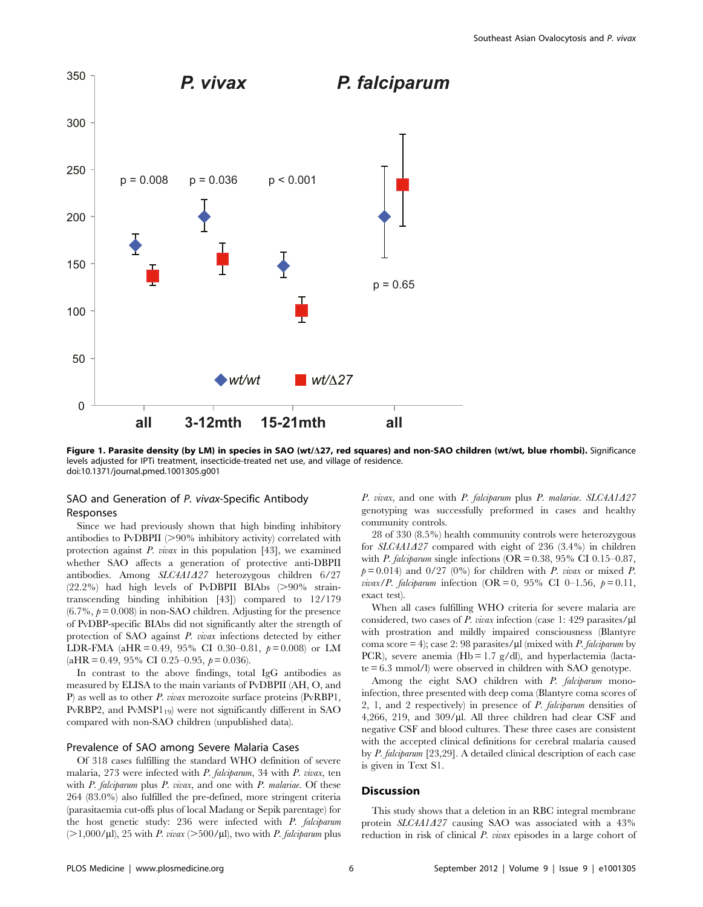

Figure 1. Parasite density (by LM) in species in SAO (wt/D27, red squares) and non-SAO children (wt/wt, blue rhombi). Significance levels adjusted for IPTi treatment, insecticide-treated net use, and village of residence. doi:10.1371/journal.pmed.1001305.g001

# SAO and Generation of P. vivax-Specific Antibody Responses

Since we had previously shown that high binding inhibitory antibodies to PvDBPII  $(>90\%$  inhibitory activity) correlated with protection against  $P$ . *vivax* in this population [43], we examined whether SAO affects a generation of protective anti-DBPII antibodies. Among SLC4A1A27 heterozygous children 6/27  $(22.2%)$  had high levels of PvDBPII BIAbs (>90% straintranscending binding inhibition [43]) compared to 12/179  $(6.7\%, p=0.008)$  in non-SAO children. Adjusting for the presence of PvDBP-specific BIAbs did not significantly alter the strength of protection of SAO against P. vivax infections detected by either LDR-FMA (aHR = 0.49, 95% CI 0.30–0.81,  $p = 0.008$ ) or LM  $(aHR = 0.49, 95\% \text{ CI } 0.25-0.95, p = 0.036).$ 

In contrast to the above findings, total IgG antibodies as measured by ELISA to the main variants of PvDBPII (AH, O, and P) as well as to other P. vivax merozoite surface proteins (PvRBP1, PvRBP2, and  $PvMSP1_{19}$ ) were not significantly different in SAO compared with non-SAO children (unpublished data).

#### Prevalence of SAO among Severe Malaria Cases

Of 318 cases fulfilling the standard WHO definition of severe malaria, 273 were infected with P. falciparum, 34 with P. vivax, ten with  $P$ . falciparum plus  $P$ . vivax, and one with  $P$ . malariae. Of these 264 (83.0%) also fulfilled the pre-defined, more stringent criteria (parasitaemia cut-offs plus of local Madang or Sepik parentage) for the host genetic study: 236 were infected with P. falciparum  $(>1,000/\mu l)$ , 25 with P. vivax  $(>500/\mu l)$ , two with P. falciparum plus P. vivax, and one with P. falciparum plus P. malariae.  $SLCAA1A27$ genotyping was successfully preformed in cases and healthy community controls.

28 of 330 (8.5%) health community controls were heterozygous for  $SLC4A1A27$  compared with eight of 236 (3.4%) in children with *P. falciparum* single infections ( $OR = 0.38$ , 95% CI 0.15–0.87,  $p= 0.014$ ) and 0/27 (0%) for children with P. vivax or mixed P. *vivax*/*P.* falciparum infection (OR = 0, 95% CI 0–1.56,  $p = 0.11$ , exact test).

When all cases fulfilling WHO criteria for severe malaria are considered, two cases of  $P.$  vivax infection (case 1: 429 parasites/ $\mu$ l with prostration and mildly impaired consciousness (Blantyre coma score = 4); case 2: 98 parasites/ $\mu$ l (mixed with *P. falciparum* by PCR), severe anemia (Hb =  $1.7$  g/dl), and hyperlactemia (lactate = 6.3 mmol/l) were observed in children with SAO genotype.

Among the eight SAO children with P. falciparum monoinfection, three presented with deep coma (Blantyre coma scores of 2, 1, and 2 respectively) in presence of P. falciparum densities of 4,266, 219, and 309/ $\mu$ l. All three children had clear CSF and negative CSF and blood cultures. These three cases are consistent with the accepted clinical definitions for cerebral malaria caused by P. falciparum [23,29]. A detailed clinical description of each case is given in Text S1.

#### **Discussion**

This study shows that a deletion in an RBC integral membrane protein  $SLCAA1A27$  causing SAO was associated with a 43% reduction in risk of clinical P. vivax episodes in a large cohort of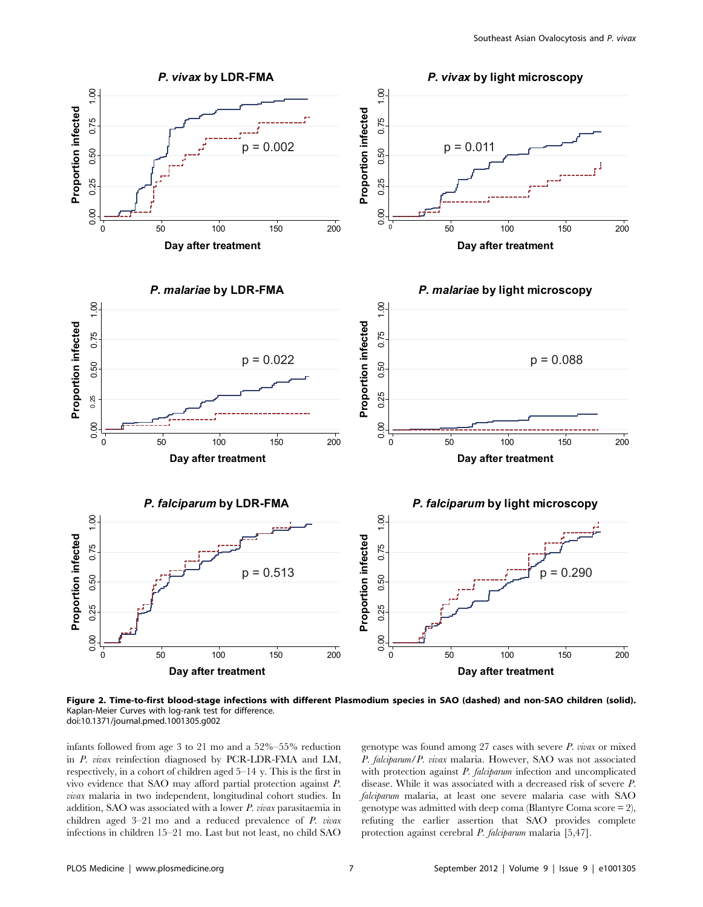

Figure 2. Time-to-first blood-stage infections with different Plasmodium species in SAO (dashed) and non-SAO children (solid). Kaplan-Meier Curves with log-rank test for difference. doi:10.1371/journal.pmed.1001305.g002

infants followed from age 3 to 21 mo and a 52%–55% reduction in P. vivax reinfection diagnosed by PCR-LDR-FMA and LM, respectively, in a cohort of children aged 5–14 y. This is the first in vivo evidence that SAO may afford partial protection against P. vivax malaria in two independent, longitudinal cohort studies. In addition, SAO was associated with a lower P. vivax parasitaemia in children aged 3–21 mo and a reduced prevalence of P. vivax infections in children 15–21 mo. Last but not least, no child SAO

genotype was found among  $27$  cases with severe  $P$ . vivax or mixed P. falciparum/P. vivax malaria. However, SAO was not associated with protection against *P. falciparum* infection and uncomplicated disease. While it was associated with a decreased risk of severe P. falciparum malaria, at least one severe malaria case with SAO genotype was admitted with deep coma (Blantyre Coma score  $= 2$ ), refuting the earlier assertion that SAO provides complete protection against cerebral P. falciparum malaria [5,47].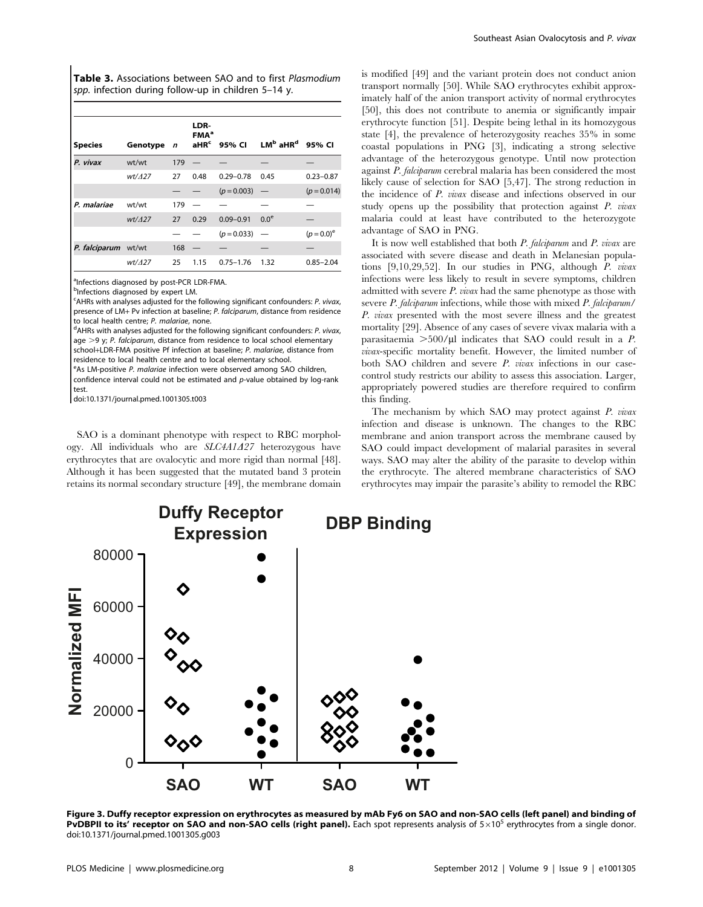Table 3. Associations between SAO and to first Plasmodium spp. infection during follow-up in children 5-14 y.

| <b>Species</b>      | Genotype | $\mathbf n$ | LDR-<br><b>FMA</b> <sup>a</sup><br>a <sub>HR</sub> <sup>c</sup> | 95% CI        | $LMb$ aHR <sup>d</sup> 95% CI   |               |
|---------------------|----------|-------------|-----------------------------------------------------------------|---------------|---------------------------------|---------------|
| P. vivax            | wt/wt    | 179         |                                                                 |               |                                 |               |
|                     | wt/427   | 27          | 0.48                                                            | $0.29 - 0.78$ | 0.45                            | $0.23 - 0.87$ |
|                     |          |             |                                                                 | $(p = 0.003)$ | $\hspace{0.1mm}-\hspace{0.1mm}$ | $(p = 0.014)$ |
| P. malariae         | wt/wt    | 179         |                                                                 |               |                                 |               |
|                     | wt/427   | 27          | 0.29                                                            | $0.09 - 0.91$ | 0.0 <sup>e</sup>                |               |
|                     |          |             |                                                                 | $(p = 0.033)$ | $\overline{\phantom{0}}$        | $(p=0.0)^e$   |
| P. falciparum wt/wt |          | 168         |                                                                 |               |                                 |               |
|                     | wt/427   | 25          | 1.15                                                            | $0.75 - 1.76$ | 1.32                            | $0.85 - 2.04$ |

<sup>a</sup>Infections diagnosed by post-PCR LDR-FMA.

bInfections diagnosed by expert LM.

<sup>c</sup>AHRs with analyses adjusted for the following significant confounders: P. vivax, presence of  $LM+Pv$  infection at baseline; P. falcingrum, distance from residence to local health centre; P. malariae, none.

<sup>d</sup>AHRs with analyses adjusted for the following significant confounders: P. vivax, age  $>9$  y; P. falciparum, distance from residence to local school elementary school+LDR-FMA positive Pf infection at baseline; P. malariae, distance from residence to local health centre and to local elementary school.

eAs LM-positive P. malariae infection were observed among SAO children, confidence interval could not be estimated and  $p$ -value obtained by log-rank

test.

doi:10.1371/journal.pmed.1001305.t003

SAO is a dominant phenotype with respect to RBC morphology. All individuals who are  $SLCAA1A27$  heterozygous have erythrocytes that are ovalocytic and more rigid than normal [48]. Although it has been suggested that the mutated band 3 protein retains its normal secondary structure [49], the membrane domain is modified [49] and the variant protein does not conduct anion transport normally [50]. While SAO erythrocytes exhibit approximately half of the anion transport activity of normal erythrocytes [50], this does not contribute to anemia or significantly impair erythrocyte function [51]. Despite being lethal in its homozygous state [4], the prevalence of heterozygosity reaches 35% in some coastal populations in PNG [3], indicating a strong selective advantage of the heterozygous genotype. Until now protection against P. falciparum cerebral malaria has been considered the most likely cause of selection for SAO [5,47]. The strong reduction in the incidence of P. vivax disease and infections observed in our study opens up the possibility that protection against P. vivax malaria could at least have contributed to the heterozygote advantage of SAO in PNG.

It is now well established that both  $P$ . *falciparum* and  $P$ . *vivax* are associated with severe disease and death in Melanesian populations [9,10,29,52]. In our studies in PNG, although P. vivax infections were less likely to result in severe symptoms, children admitted with severe P. vivax had the same phenotype as those with severe P. falciparum infections, while those with mixed P. falciparum/ P. vivax presented with the most severe illness and the greatest mortality [29]. Absence of any cases of severe vivax malaria with a parasitaemia  $>500/\mu$ l indicates that SAO could result in a P. vivax-specific mortality benefit. However, the limited number of both SAO children and severe P. vivax infections in our casecontrol study restricts our ability to assess this association. Larger, appropriately powered studies are therefore required to confirm this finding.

The mechanism by which SAO may protect against P. vivax infection and disease is unknown. The changes to the RBC membrane and anion transport across the membrane caused by SAO could impact development of malarial parasites in several ways. SAO may alter the ability of the parasite to develop within the erythrocyte. The altered membrane characteristics of SAO erythrocytes may impair the parasite's ability to remodel the RBC



Figure 3. Duffy receptor expression on erythrocytes as measured by mAb Fy6 on SAO and non-SAO cells (left panel) and binding of **PvDBPII to its' receptor on SAO and non-SAO cells (right panel).** Each spot represents analysis of  $5\times10^5$  erythrocytes from a single donor. doi:10.1371/journal.pmed.1001305.g003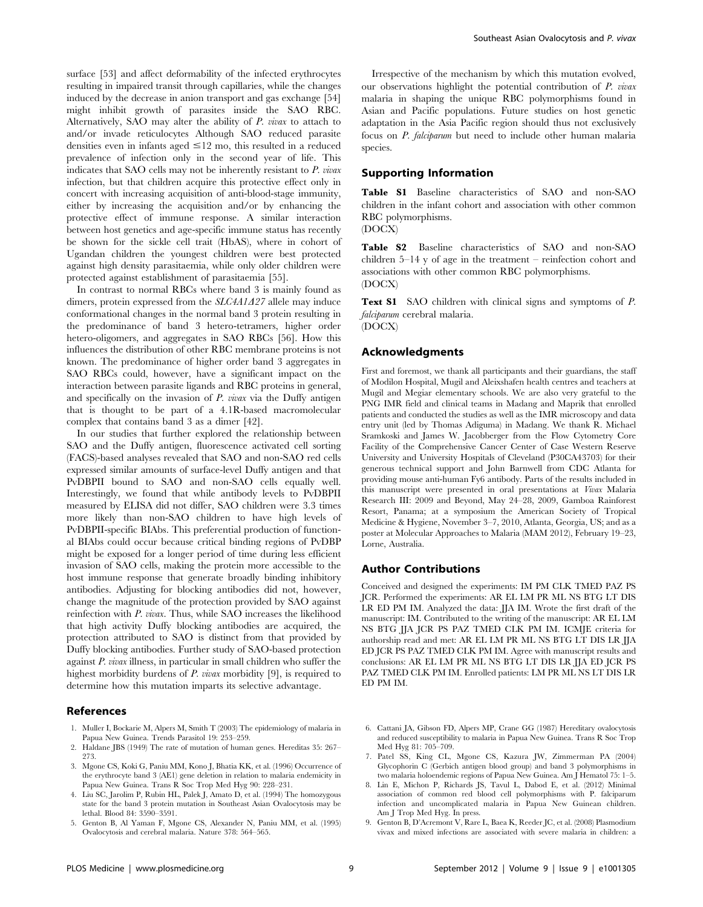surface [53] and affect deformability of the infected erythrocytes resulting in impaired transit through capillaries, while the changes induced by the decrease in anion transport and gas exchange [54] might inhibit growth of parasites inside the SAO RBC. Alternatively, SAO may alter the ability of P. vivax to attach to and/or invade reticulocytes Although SAO reduced parasite densities even in infants aged  $\leq$ 12 mo, this resulted in a reduced prevalence of infection only in the second year of life. This indicates that SAO cells may not be inherently resistant to P. vivax infection, but that children acquire this protective effect only in concert with increasing acquisition of anti-blood-stage immunity, either by increasing the acquisition and/or by enhancing the protective effect of immune response. A similar interaction between host genetics and age-specific immune status has recently be shown for the sickle cell trait (HbAS), where in cohort of Ugandan children the youngest children were best protected against high density parasitaemia, while only older children were protected against establishment of parasitaemia [55].

In contrast to normal RBCs where band 3 is mainly found as dimers, protein expressed from the  $SLCAA1A27$  allele may induce conformational changes in the normal band 3 protein resulting in the predominance of band 3 hetero-tetramers, higher order hetero-oligomers, and aggregates in SAO RBCs [56]. How this influences the distribution of other RBC membrane proteins is not known. The predominance of higher order band 3 aggregates in SAO RBCs could, however, have a significant impact on the interaction between parasite ligands and RBC proteins in general, and specifically on the invasion of P. vivax via the Duffy antigen that is thought to be part of a 4.1R-based macromolecular complex that contains band 3 as a dimer [42].

In our studies that further explored the relationship between SAO and the Duffy antigen, fluorescence activated cell sorting (FACS)-based analyses revealed that SAO and non-SAO red cells expressed similar amounts of surface-level Duffy antigen and that PvDBPII bound to SAO and non-SAO cells equally well. Interestingly, we found that while antibody levels to PvDBPII measured by ELISA did not differ, SAO children were 3.3 times more likely than non-SAO children to have high levels of PvDBPII-specific BIAbs. This preferential production of functional BIAbs could occur because critical binding regions of PvDBP might be exposed for a longer period of time during less efficient invasion of SAO cells, making the protein more accessible to the host immune response that generate broadly binding inhibitory antibodies. Adjusting for blocking antibodies did not, however, change the magnitude of the protection provided by SAO against reinfection with P. vivax. Thus, while SAO increases the likelihood that high activity Duffy blocking antibodies are acquired, the protection attributed to SAO is distinct from that provided by Duffy blocking antibodies. Further study of SAO-based protection against P. vivax illness, in particular in small children who suffer the highest morbidity burdens of P. vivax morbidity [9], is required to determine how this mutation imparts its selective advantage.

# References

- 1. Muller I, Bockarie M, Alpers M, Smith T (2003) The epidemiology of malaria in Papua New Guinea. Trends Parasitol 19: 253–259.
- 2. Haldane JBS (1949) The rate of mutation of human genes. Hereditas 35: 267– 273.
- 3. Mgone CS, Koki G, Paniu MM, Kono J, Bhatia KK, et al. (1996) Occurrence of the erythrocyte band 3 (AE1) gene deletion in relation to malaria endemicity in Papua New Guinea. Trans R Soc Trop Med Hyg 90: 228–231.
- 4. Liu SC, Jarolim P, Rubin HL, Palek J, Amato D, et al. (1994) The homozygous state for the band 3 protein mutation in Southeast Asian Ovalocytosis may be lethal. Blood 84: 3590–3591.
- 5. Genton B, Al Yaman F, Mgone CS, Alexander N, Paniu MM, et al. (1995) Ovalocytosis and cerebral malaria. Nature 378: 564–565.

Irrespective of the mechanism by which this mutation evolved, our observations highlight the potential contribution of P. vivax malaria in shaping the unique RBC polymorphisms found in Asian and Pacific populations. Future studies on host genetic adaptation in the Asia Pacific region should thus not exclusively focus on P. falciparum but need to include other human malaria species.

## Supporting Information

Table S1 Baseline characteristics of SAO and non-SAO children in the infant cohort and association with other common RBC polymorphisms.

(DOCX)

Table S2 Baseline characteristics of SAO and non-SAO children 5–14 y of age in the treatment – reinfection cohort and associations with other common RBC polymorphisms. (DOCX)

Text S1 SAO children with clinical signs and symptoms of P. falciparum cerebral malaria.

# (DOCX)

#### Acknowledgments

First and foremost, we thank all participants and their guardians, the staff of Modilon Hospital, Mugil and Aleixshafen health centres and teachers at Mugil and Megiar elementary schools. We are also very grateful to the PNG IMR field and clinical teams in Madang and Maprik that enrolled patients and conducted the studies as well as the IMR microscopy and data entry unit (led by Thomas Adiguma) in Madang. We thank R. Michael Sramkoski and James W. Jacobberger from the Flow Cytometry Core Facility of the Comprehensive Cancer Center of Case Western Reserve University and University Hospitals of Cleveland (P30CA43703) for their generous technical support and John Barnwell from CDC Atlanta for providing mouse anti-human Fy6 antibody. Parts of the results included in this manuscript were presented in oral presentations at Vivax Malaria Research III: 2009 and Beyond, May 24–28, 2009, Gamboa Rainforest Resort, Panama; at a symposium the American Society of Tropical Medicine & Hygiene, November 3–7, 2010, Atlanta, Georgia, US; and as a poster at Molecular Approaches to Malaria (MAM 2012), February 19–23, Lorne, Australia.

#### Author Contributions

Conceived and designed the experiments: IM PM CLK TMED PAZ PS JCR. Performed the experiments: AR EL LM PR ML NS BTG LT DIS LR ED PM IM. Analyzed the data: JJA IM. Wrote the first draft of the manuscript: IM. Contributed to the writing of the manuscript: AR EL LM NS BTG JJA JCR PS PAZ TMED CLK PM IM. ICMJE criteria for authorship read and met: AR EL LM PR ML NS BTG LT DIS LR JJA ED JCR PS PAZ TMED CLK PM IM. Agree with manuscript results and conclusions: AR EL LM PR ML NS BTG LT DIS LR JJA ED JCR PS PAZ TMED CLK PM IM. Enrolled patients: LM PR ML NS LT DIS LR ED PM IM.

- 6. Cattani JA, Gibson FD, Alpers MP, Crane GG (1987) Hereditary ovalocytosis and reduced susceptibility to malaria in Papua New Guinea. Trans R Soc Trop Med Hyg 81: 705–709.
- 7. Patel SS, King CL, Mgone CS, Kazura JW, Zimmerman PA (2004) Glycophorin C (Gerbich antigen blood group) and band 3 polymorphisms in two malaria holoendemic regions of Papua New Guinea. Am J Hematol 75: 1–5.
- 8. Lin E, Michon P, Richards JS, Tavul L, Dabod E, et al. (2012) Minimal association of common red blood cell polymorphisms with P. falciparum infection and uncomplicated malaria in Papua New Guinean children. Am J Trop Med Hyg. In press.
- 9. Genton B, D'Acremont V, Rare L, Baea K, Reeder JC, et al. (2008) Plasmodium vivax and mixed infections are associated with severe malaria in children: a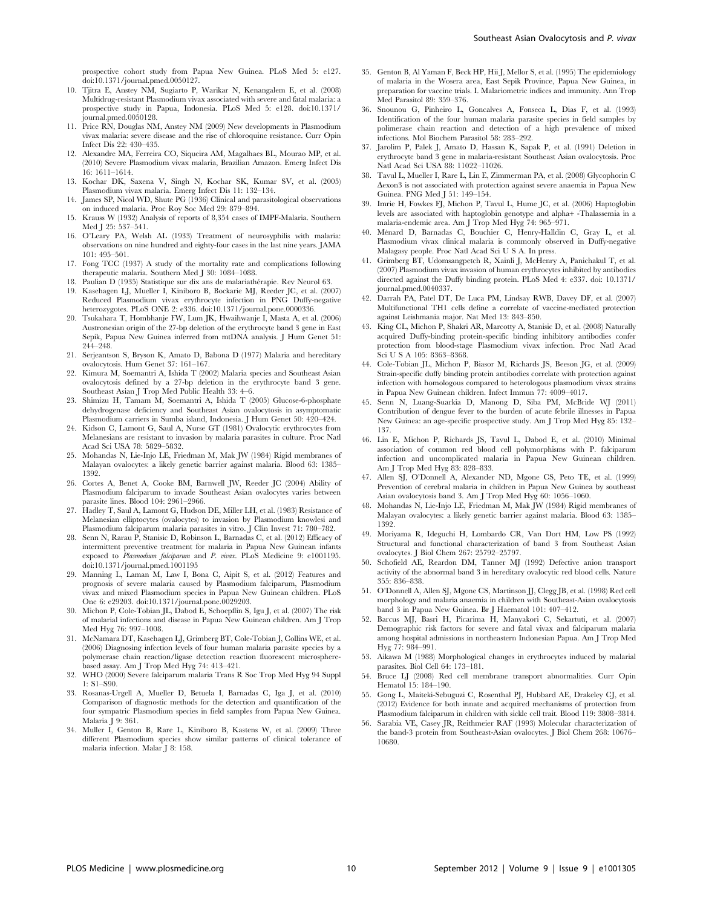- 10. Tjitra E, Anstey NM, Sugiarto P, Warikar N, Kenangalem E, et al. (2008) Multidrug-resistant Plasmodium vivax associated with severe and fatal malaria: a prospective study in Papua, Indonesia. PLoS Med 5: e128. doi:10.1371/ journal.pmed.0050128.
- 11. Price RN, Douglas NM, Anstey NM (2009) New developments in Plasmodium vivax malaria: severe disease and the rise of chloroquine resistance. Curr Opin Infect Dis 22: 430–435.
- 12. Alexandre MA, Ferreira CO, Siqueira AM, Magalhaes BL, Mourao MP, et al. (2010) Severe Plasmodium vivax malaria, Brazilian Amazon. Emerg Infect Dis 16: 1611–1614.
- 13. Kochar DK, Saxena V, Singh N, Kochar SK, Kumar SV, et al. (2005) Plasmodium vivax malaria. Emerg Infect Dis 11: 132–134.
- 14. James SP, Nicol WD, Shute PG (1936) Clinical and parasitological observations on induced malaria. Proc Roy Soc Med 29: 879–894.
- 15. Krauss W (1932) Analysis of reports of 8,354 cases of IMPF-Malaria. Southern Med J 25: 537–541.
- 16. O'Leary PA, Welsh AL (1933) Treatment of neurosyphilis with malaria: observations on nine hundred and eighty-four cases in the last nine years. JAMA 101: 495–501.
- 17. Fong TCC (1937) A study of the mortality rate and complications following therapeutic malaria. Southern Med J 30: 1084–1088.
- 18. Paulian D (1935) Statistique sur dix ans de malariathérapie. Rev Neurol 63.
- 19. Kasehagen LJ, Mueller I, Kiniboro B, Bockarie MJ, Reeder JC, et al. (2007) Reduced Plasmodium vivax erythrocyte infection in PNG Duffy-negative heterozygotes. PLoS ONE 2: e336. doi:10.1371/journal.pone.0000336.
- 20. Tsukahara T, Hombhanje FW, Lum JK, Hwaihwanje I, Masta A, et al. (2006) Austronesian origin of the 27-bp deletion of the erythrocyte band 3 gene in East Sepik, Papua New Guinea inferred from mtDNA analysis. J Hum Genet 51: 244–248.
- 21. Serjeantson S, Bryson K, Amato D, Babona D (1977) Malaria and hereditary ovalocytosis. Hum Genet 37: 161–167.
- 22. Kimura M, Soemantri A, Ishida T (2002) Malaria species and Southeast Asian ovalocytosis defined by a 27-bp deletion in the erythrocyte band 3 gene. Southeast Asian J Trop Med Public Health 33: 4–6.
- 23. Shimizu H, Tamam M, Soemantri A, Ishida T (2005) Glucose-6-phosphate dehydrogenase deficiency and Southeast Asian ovalocytosis in asymptomatic Plasmodium carriers in Sumba island, Indonesia. J Hum Genet 50: 420–424.
- 24. Kidson C, Lamont G, Saul A, Nurse GT (1981) Ovalocytic erythrocytes from Melanesians are resistant to invasion by malaria parasites in culture. Proc Natl Acad Sci USA 78: 5829–5832.
- 25. Mohandas N, Lie-Injo LE, Friedman M, Mak JW (1984) Rigid membranes of Malayan ovalocytes: a likely genetic barrier against malaria. Blood 63: 1385– 1392.
- 26. Cortes A, Benet A, Cooke BM, Barnwell JW, Reeder JC (2004) Ability of Plasmodium falciparum to invade Southeast Asian ovalocytes varies between parasite lines. Blood 104: 2961–2966.
- 27. Hadley T, Saul A, Lamont G, Hudson DE, Miller LH, et al. (1983) Resistance of Melanesian elliptocytes (ovalocytes) to invasion by Plasmodium knowlesi and Plasmodium falciparum malaria parasites in vitro. J Clin Invest 71: 780–782.
- 28. Senn N, Rarau P, Stanisic D, Robinson L, Barnadas C, et al. (2012) Efficacy of intermittent preventive treatment for malaria in Papua New Guinean infants exposed to Plasmodium falciparum and P. vivax. PLoS Medicine 9: e1001195. doi:10.1371/journal.pmed.1001195
- 29. Manning L, Laman M, Law I, Bona C, Aipit S, et al. (2012) Features and prognosis of severe malaria caused by Plasmodium falciparum, Plasmodium vivax and mixed Plasmodium species in Papua New Guinean children. PLoS One 6: e29203. doi:10.1371/journal.pone.0029203.
- 30. Michon P, Cole-Tobian JL, Dabod E, Schoepflin S, Igu J, et al. (2007) The risk of malarial infections and disease in Papua New Guinean children. Am J Trop Med Hyg 76: 997–1008.
- 31. McNamara DT, Kasehagen LJ, Grimberg BT, Cole-Tobian J, Collins WE, et al. (2006) Diagnosing infection levels of four human malaria parasite species by a polymerase chain reaction/ligase detection reaction fluorescent microspherebased assay. Am J Trop Med Hyg 74: 413–421.
- 32. WHO (2000) Severe falciparum malaria Trans R Soc Trop Med Hyg 94 Suppl 1: S1–S90.
- 33. Rosanas-Urgell A, Mueller D, Betuela I, Barnadas C, Iga J, et al. (2010) Comparison of diagnostic methods for the detection and quantification of the four sympatric Plasmodium species in field samples from Papua New Guinea. Malaria J 9: 361.
- 34. Muller I, Genton B, Rare L, Kiniboro B, Kastens W, et al. (2009) Three different Plasmodium species show similar patterns of clinical tolerance of malaria infection. Malar J 8: 158.
- 35. Genton B, Al Yaman F, Beck HP, Hii J, Mellor S, et al. (1995) The epidemiology of malaria in the Wosera area, East Sepik Province, Papua New Guinea, in preparation for vaccine trials. I. Malariometric indices and immunity. Ann Trop Med Parasitol 89: 359–376.
- 36. Snounou G, Pinheiro L, Goncalves A, Fonseca L, Dias F, et al. (1993) Identification of the four human malaria parasite species in field samples by polimerase chain reaction and detection of a high prevalence of mixed infections. Mol Biochem Parasitol 58: 283–292.
- 37. Jarolim P, Palek J, Amato D, Hassan K, Sapak P, et al. (1991) Deletion in erythrocyte band 3 gene in malaria-resistant Southeast Asian ovalocytosis. Proc Natl Acad Sci USA 88: 11022–11026.
- 38. Tavul L, Mueller I, Rare L, Lin E, Zimmerman PA, et al. (2008) Glycophorin C Dexon3 is not associated with protection against severe anaemia in Papua New Guinea. PNG Med J 51: 149–154.
- 39. Imrie H, Fowkes FJ, Michon P, Tavul L, Hume JC, et al. (2006) Haptoglobin levels are associated with haptoglobin genotype and alpha+ -Thalassemia in a malaria-endemic area. Am J Trop Med Hyg 74: 965–971.
- 40. Me´nard D, Barnadas C, Bouchier C, Henry-Halldin C, Gray L, et al. Plasmodium vivax clinical malaria is commonly observed in Duffy-negative Malagasy people. Proc Natl Acad Sci U S A. In press.
- 41. Grimberg BT, Udomsangpetch R, Xainli J, McHenry A, Panichakul T, et al. (2007) Plasmodium vivax invasion of human erythrocytes inhibited by antibodies directed against the Duffy binding protein. PLoS Med 4: e337. doi: 10.1371/ ournal.pmed.0040337.
- 42. Darrah PA, Patel DT, De Luca PM, Lindsay RWB, Davey DF, et al. (2007) Multifunctional TH1 cells define a correlate of vaccine-mediated protection against Leishmania major. Nat Med 13: 843–850.
- 43. King CL, Michon P, Shakri AR, Marcotty A, Stanisic D, et al. (2008) Naturally acquired Duffy-binding protein-specific binding inhibitory antibodies confer protection from blood-stage Plasmodium vivax infection. Proc Natl Acad Sci U S A 105: 8363–8368.
- 44. Cole-Tobian JL, Michon P, Biasor M, Richards JS, Beeson JG, et al. (2009) Strain-specific duffy binding protein antibodies correlate with protection against infection with homologous compared to heterologous plasmodium vivax strains in Papua New Guinean children. Infect Immun 77: 4009–4017.
- 45. Senn N, Luang-Suarkia D, Manong D, Siba PM, McBride WJ (2011) Contribution of dengue fever to the burden of acute febrile illnesses in Papua New Guinea: an age-specific prospective study. Am J Trop Med Hyg 85: 132– 137.
- 46. Lin E, Michon P, Richards JS, Tavul L, Dabod E, et al. (2010) Minimal association of common red blood cell polymorphisms with P. falciparum infection and uncomplicated malaria in Papua New Guinean children. Am J Trop Med Hyg 83: 828–833.
- 47. Allen SJ, O'Donnell A, Alexander ND, Mgone CS, Peto TE, et al. (1999) Prevention of cerebral malaria in children in Papua New Guinea by southeast Asian ovalocytosis band 3. Am J Trop Med Hyg 60: 1056–1060.
- 48. Mohandas N, Lie-Injo LE, Friedman M, Mak JW (1984) Rigid membranes of Malayan ovalocytes: a likely genetic barrier against malaria. Blood 63: 1385– 1392.
- 49. Moriyama R, Ideguchi H, Lombardo CR, Van Dort HM, Low PS (1992) Structural and functional characterization of band 3 from Southeast Asian ovalocytes. J Biol Chem 267: 25792–25797.
- 50. Schofield AE, Reardon DM, Tanner MJ (1992) Defective anion transport activity of the abnormal band 3 in hereditary ovalocytic red blood cells. Nature 355: 836–838.
- 51. O'Donnell A, Allen SJ, Mgone CS, Martinson JJ, Clegg JB, et al. (1998) Red cell morphology and malaria anaemia in children with Southeast-Asian ovalocytosis band 3 in Papua New Guinea. Br J Haematol 101: 407–412.
- 52. Barcus MJ, Basri H, Picarima H, Manyakori C, Sekartuti, et al. (2007) Demographic risk factors for severe and fatal vivax and falciparum malaria among hospital admissions in northeastern Indonesian Papua. Am J Trop Med Hyg 77: 984–991.
- 53. Aikawa M (1988) Morphological changes in erythrocytes induced by malarial parasites. Biol Cell 64: 173–181.
- 54. Bruce LJ (2008) Red cell membrane transport abnormalities. Curr Opin Hematol 15: 184–190.
- 55. Gong L, Maiteki-Sebuguzi C, Rosenthal PJ, Hubbard AE, Drakeley CJ, et al. (2012) Evidence for both innate and acquired mechanisms of protection from Plasmodium falciparum in children with sickle cell trait. Blood 119: 3808–3814.
- 56. Sarabia VE, Casey JR, Reithmeier RAF (1993) Molecular characterization of the band-3 protein from Southeast-Asian ovalocytes. J Biol Chem 268: 10676– 10680.